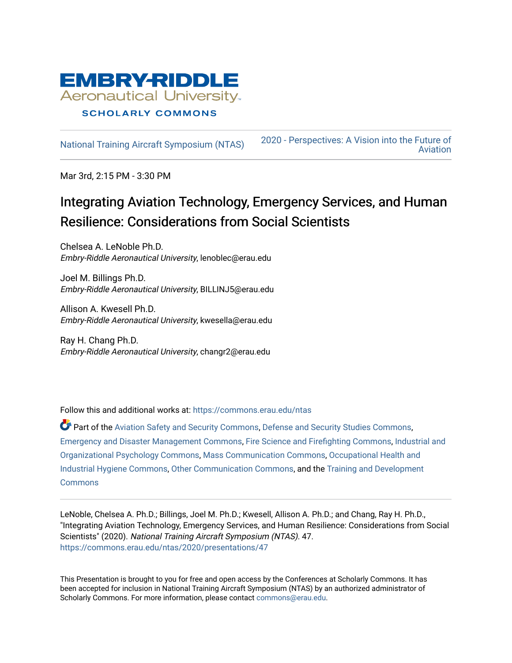

[National Training Aircraft Symposium \(NTAS\)](https://commons.erau.edu/ntas) [2020 - Perspectives: A Vision into the Future of](https://commons.erau.edu/ntas/2020)  [Aviation](https://commons.erau.edu/ntas/2020) 

Mar 3rd, 2:15 PM - 3:30 PM

### Integrating Aviation Technology, Emergency Services, and Human Resilience: Considerations from Social Scientists

Chelsea A. LeNoble Ph.D. Embry-Riddle Aeronautical University, lenoblec@erau.edu

Joel M. Billings Ph.D. Embry-Riddle Aeronautical University, BILLINJ5@erau.edu

Allison A. Kwesell Ph.D. Embry-Riddle Aeronautical University, kwesella@erau.edu

Ray H. Chang Ph.D. Embry-Riddle Aeronautical University, changr2@erau.edu

Follow this and additional works at: [https://commons.erau.edu/ntas](https://commons.erau.edu/ntas?utm_source=commons.erau.edu%2Fntas%2F2020%2Fpresentations%2F47&utm_medium=PDF&utm_campaign=PDFCoverPages) 

Part of the [Aviation Safety and Security Commons,](http://network.bepress.com/hgg/discipline/1320?utm_source=commons.erau.edu%2Fntas%2F2020%2Fpresentations%2F47&utm_medium=PDF&utm_campaign=PDFCoverPages) [Defense and Security Studies Commons](http://network.bepress.com/hgg/discipline/394?utm_source=commons.erau.edu%2Fntas%2F2020%2Fpresentations%2F47&utm_medium=PDF&utm_campaign=PDFCoverPages), [Emergency and Disaster Management Commons,](http://network.bepress.com/hgg/discipline/1321?utm_source=commons.erau.edu%2Fntas%2F2020%2Fpresentations%2F47&utm_medium=PDF&utm_campaign=PDFCoverPages) [Fire Science and Firefighting Commons](http://network.bepress.com/hgg/discipline/1411?utm_source=commons.erau.edu%2Fntas%2F2020%2Fpresentations%2F47&utm_medium=PDF&utm_campaign=PDFCoverPages), [Industrial and](http://network.bepress.com/hgg/discipline/412?utm_source=commons.erau.edu%2Fntas%2F2020%2Fpresentations%2F47&utm_medium=PDF&utm_campaign=PDFCoverPages) [Organizational Psychology Commons](http://network.bepress.com/hgg/discipline/412?utm_source=commons.erau.edu%2Fntas%2F2020%2Fpresentations%2F47&utm_medium=PDF&utm_campaign=PDFCoverPages), [Mass Communication Commons](http://network.bepress.com/hgg/discipline/334?utm_source=commons.erau.edu%2Fntas%2F2020%2Fpresentations%2F47&utm_medium=PDF&utm_campaign=PDFCoverPages), [Occupational Health and](http://network.bepress.com/hgg/discipline/742?utm_source=commons.erau.edu%2Fntas%2F2020%2Fpresentations%2F47&utm_medium=PDF&utm_campaign=PDFCoverPages)  [Industrial Hygiene Commons,](http://network.bepress.com/hgg/discipline/742?utm_source=commons.erau.edu%2Fntas%2F2020%2Fpresentations%2F47&utm_medium=PDF&utm_campaign=PDFCoverPages) [Other Communication Commons](http://network.bepress.com/hgg/discipline/339?utm_source=commons.erau.edu%2Fntas%2F2020%2Fpresentations%2F47&utm_medium=PDF&utm_campaign=PDFCoverPages), and the [Training and Development](http://network.bepress.com/hgg/discipline/1257?utm_source=commons.erau.edu%2Fntas%2F2020%2Fpresentations%2F47&utm_medium=PDF&utm_campaign=PDFCoverPages)  **[Commons](http://network.bepress.com/hgg/discipline/1257?utm_source=commons.erau.edu%2Fntas%2F2020%2Fpresentations%2F47&utm_medium=PDF&utm_campaign=PDFCoverPages)** 

LeNoble, Chelsea A. Ph.D.; Billings, Joel M. Ph.D.; Kwesell, Allison A. Ph.D.; and Chang, Ray H. Ph.D., "Integrating Aviation Technology, Emergency Services, and Human Resilience: Considerations from Social Scientists" (2020). National Training Aircraft Symposium (NTAS). 47. [https://commons.erau.edu/ntas/2020/presentations/47](https://commons.erau.edu/ntas/2020/presentations/47?utm_source=commons.erau.edu%2Fntas%2F2020%2Fpresentations%2F47&utm_medium=PDF&utm_campaign=PDFCoverPages) 

This Presentation is brought to you for free and open access by the Conferences at Scholarly Commons. It has been accepted for inclusion in National Training Aircraft Symposium (NTAS) by an authorized administrator of Scholarly Commons. For more information, please contact [commons@erau.edu.](mailto:commons@erau.edu)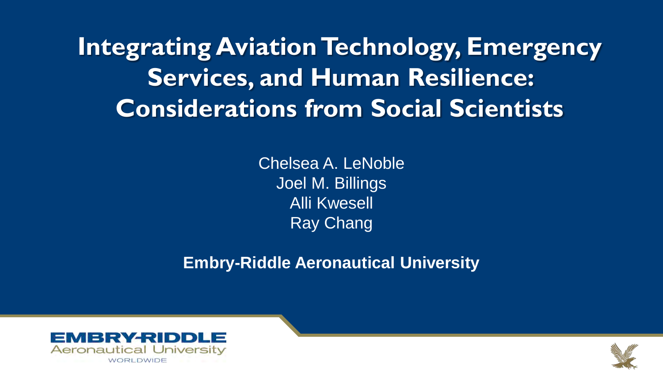**Integrating Aviation Technology, Emergency Services, and Human Resilience: Considerations from Social Scientists**

> Chelsea A. LeNoble Joel M. Billings Alli Kwesell Ray Chang

**Embry-Riddle Aeronautical University**



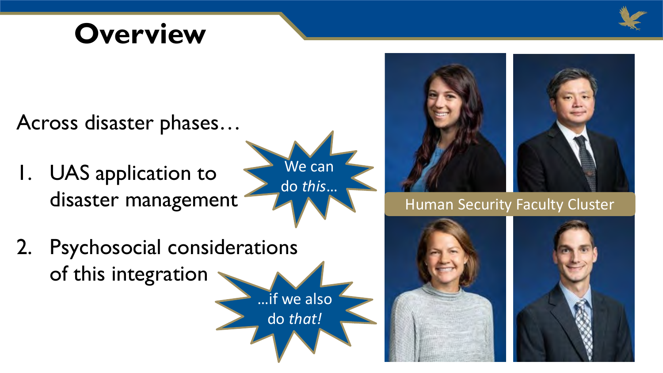

## **Overview**

Across disaster phases…

1. UAS application to disaster management

We can do *this*…

…if we also

do *that!*

2. Psychosocial considerations of this integration



Human Security Faculty Cluster



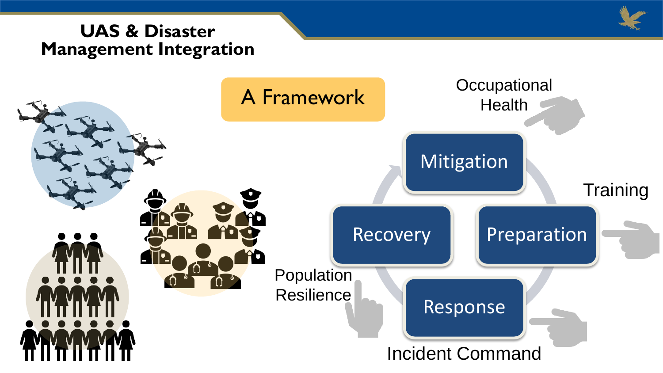### **UAS & Disaster Management Integration**



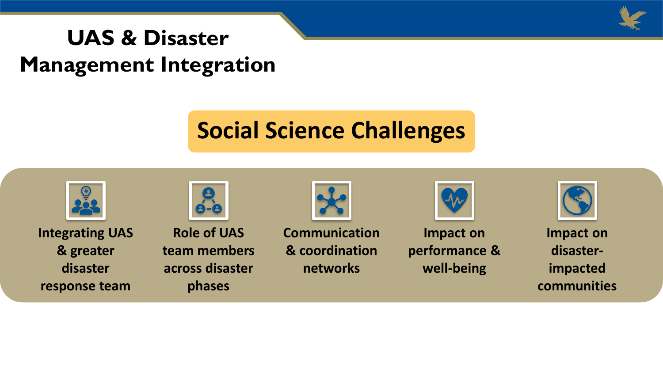

### **UAS & Disaster Management Integration**

### **Social Science Challenges**

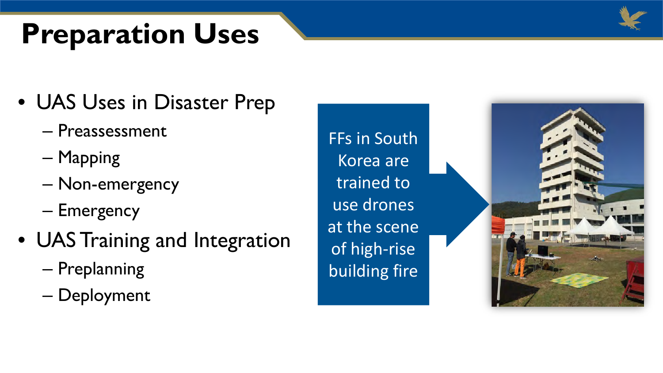# **Preparation Uses**



### • UAS Uses in Disaster Prep

- Preassessment
- Mapping
- Non-emergency
- Emergency
- UAS Training and Integration
	- Preplanning
	- Deployment

FFs in South Korea are trained to use drones at the scene of high-rise building fire

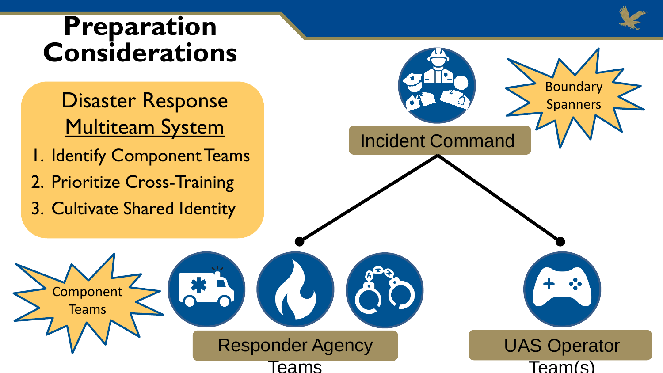### **Preparation Considerations**

- Disaster Response **Multiteam System**
- 1. Identify Component Teams
- 2. Prioritize Cross-Training
- 3. Cultivate Shared Identity

**Component Teams** 

Teams

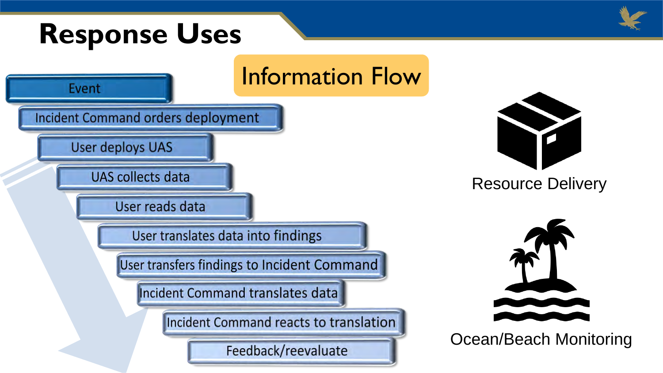## **Response Uses**







Resource Delivery



Ocean/Beach Monitoring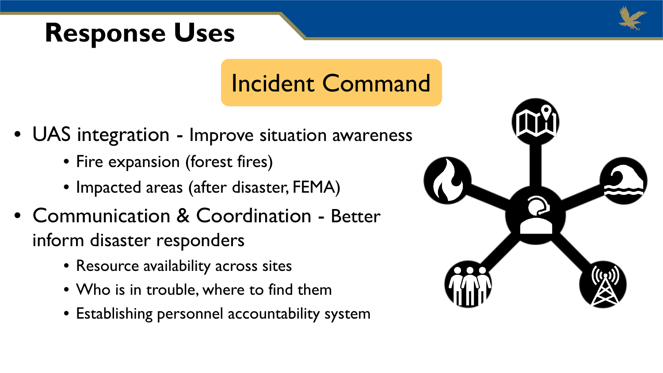## **Response Uses**



### Incident Command

- UAS integration Improve situation awareness
	- Fire expansion (forest fires)
	- Impacted areas (after disaster, FEMA)
- Communication & Coordination Better inform disaster responders
	- Resource availability across sites
	- Who is in trouble, where to find them
	- Establishing personnel accountability system

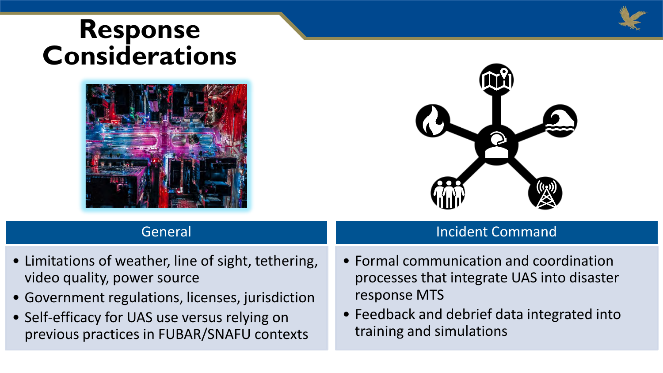### **Response Considerations**





Incident Command

### General

- Limitations of weather, line of sight, tethering, video quality, power source
- Government regulations, licenses, jurisdiction
- Self-efficacy for UAS use versus relying on previous practices in FUBAR/SNAFU contexts
- Formal communication and coordination processes that integrate UAS into disaster response MTS
- Feedback and debrief data integrated into training and simulations

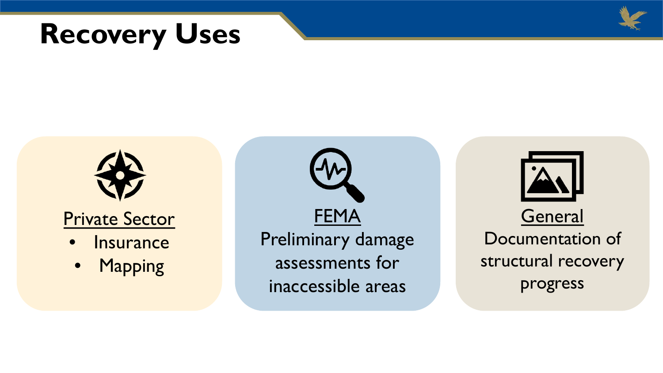





FEMA Preliminary damage assessments for inaccessible areas



Documentation of structural recovery progress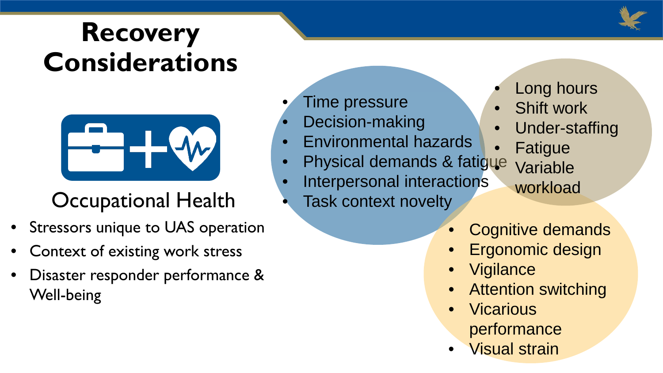## **Recovery Considerations**



### Occupational Health

- Stressors unique to UAS operation
- Context of existing work stress
- Disaster responder performance & Well-being
- Time pressure
- Decision-making
- Environmental hazards
- Physical demands & fatigue
- Interpersonal interactions
	- Task context novelty
- Long hours
- Shift work
- Under-staffing
- **Fatigue**
- **Variable** workload
- Cognitive demands
- Ergonomic design
- **Vigilance**
- **Attention switching**
- **Vicarious** performance
- Visual strain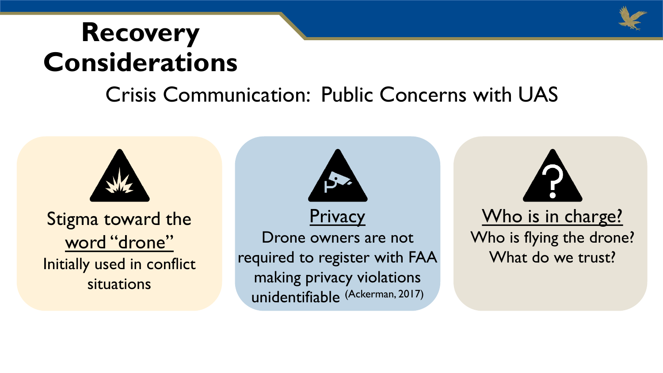

### **Recovery Considerations**

### Crisis Communication: Public Concerns with UAS

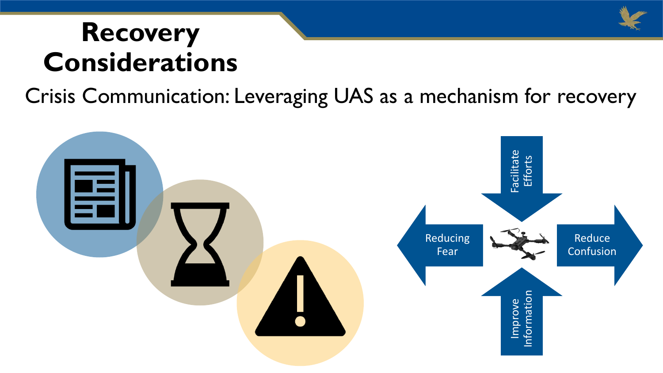## **Recovery Considerations**

Crisis Communication: Leveraging UAS as a mechanism for recovery



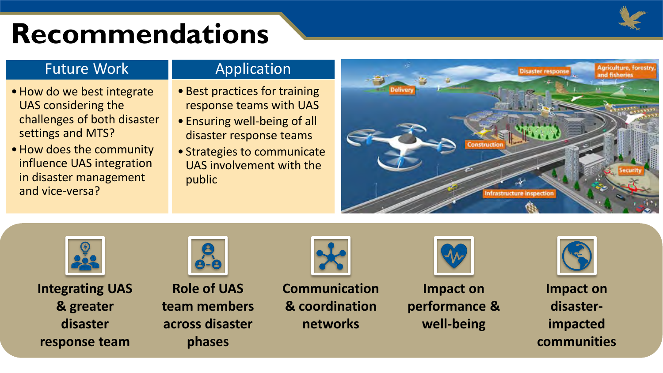

## **Recommendations**

### Future Work

- •How do we best integrate UAS considering the challenges of both disaster settings and MTS?
- •How does the community influence UAS integration in disaster management and vice-versa?

### Application

- Best practices for training response teams with UAS
- Ensuring well-being of all disaster response teams
- Strategies to communicate UAS involvement with the public





**Integrating UAS & greater disaster response team**



**Role of UAS team members across disaster phases**

**Communication & coordination networks**



**Impact on performance & well-being**



**Impact on disasterimpacted communities**